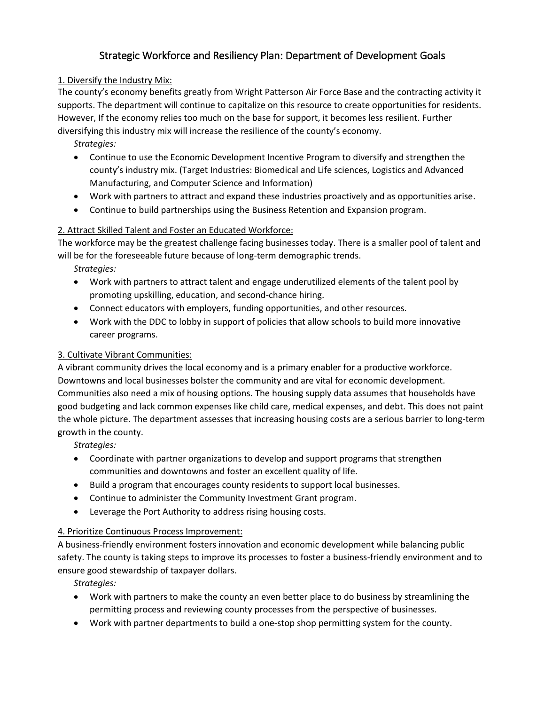# Strategic Workforce and Resiliency Plan: Department of Development Goals

## 1. Diversify the Industry Mix:

The county's economy benefits greatly from Wright Patterson Air Force Base and the contracting activity it supports. The department will continue to capitalize on this resource to create opportunities for residents. However, If the economy relies too much on the base for support, it becomes less resilient. Further diversifying this industry mix will increase the resilience of the county's economy.

# *Strategies:*

- Continue to use the Economic Development Incentive Program to diversify and strengthen the county's industry mix. (Target Industries: Biomedical and Life sciences, Logistics and Advanced Manufacturing, and Computer Science and Information)
- Work with partners to attract and expand these industries proactively and as opportunities arise.
- Continue to build partnerships using the Business Retention and Expansion program.

# 2. Attract Skilled Talent and Foster an Educated Workforce:

The workforce may be the greatest challenge facing businesses today. There is a smaller pool of talent and will be for the foreseeable future because of long-term demographic trends.

*Strategies:*

- Work with partners to attract talent and engage underutilized elements of the talent pool by promoting upskilling, education, and second-chance hiring.
- Connect educators with employers, funding opportunities, and other resources.
- Work with the DDC to lobby in support of policies that allow schools to build more innovative career programs.

# 3. Cultivate Vibrant Communities:

A vibrant community drives the local economy and is a primary enabler for a productive workforce. Downtowns and local businesses bolster the community and are vital for economic development. Communities also need a mix of housing options. The housing supply data assumes that households have good budgeting and lack common expenses like child care, medical expenses, and debt. This does not paint the whole picture. The department assesses that increasing housing costs are a serious barrier to long-term growth in the county.

*Strategies:*

- Coordinate with partner organizations to develop and support programs that strengthen communities and downtowns and foster an excellent quality of life.
- Build a program that encourages county residents to support local businesses.
- Continue to administer the Community Investment Grant program.
- Leverage the Port Authority to address rising housing costs.

# 4. Prioritize Continuous Process Improvement:

A business-friendly environment fosters innovation and economic development while balancing public safety. The county is taking steps to improve its processes to foster a business-friendly environment and to ensure good stewardship of taxpayer dollars.

*Strategies:*

- Work with partners to make the county an even better place to do business by streamlining the permitting process and reviewing county processes from the perspective of businesses.
- Work with partner departments to build a one-stop shop permitting system for the county.